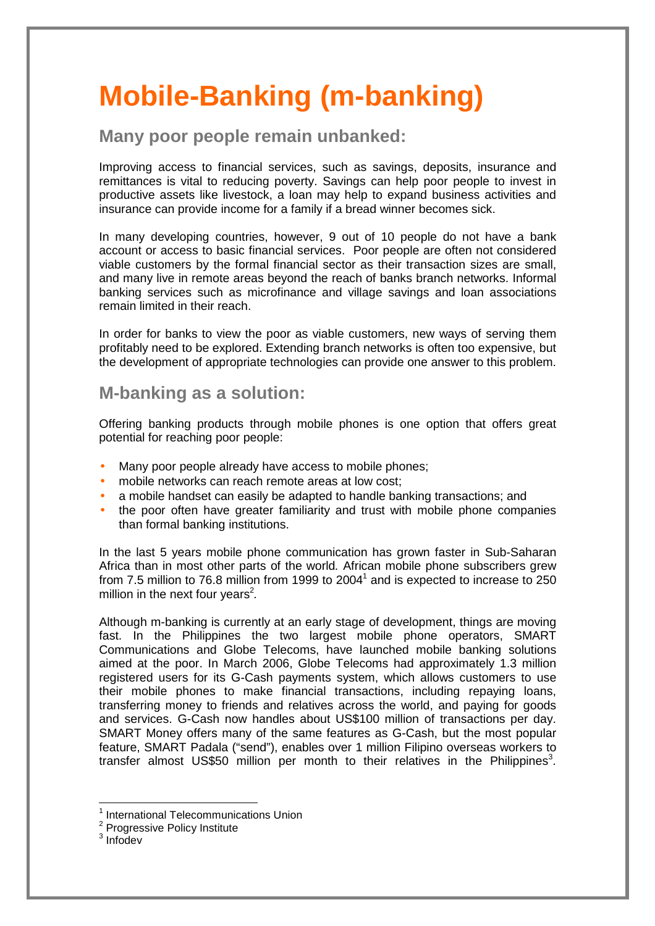## **Mobile-Banking (m-banking)**

## **Many poor people remain unbanked:**

Improving access to financial services, such as savings, deposits, insurance and remittances is vital to reducing poverty. Savings can help poor people to invest in productive assets like livestock, a loan may help to expand business activities and insurance can provide income for a family if a bread winner becomes sick.

In many developing countries, however, 9 out of 10 people do not have a bank account or access to basic financial services. Poor people are often not considered viable customers by the formal financial sector as their transaction sizes are small, and many live in remote areas beyond the reach of banks branch networks. Informal banking services such as microfinance and village savings and loan associations remain limited in their reach.

In order for banks to view the poor as viable customers, new ways of serving them profitably need to be explored. Extending branch networks is often too expensive, but the development of appropriate technologies can provide one answer to this problem.

## **M-banking as a solution:**

Offering banking products through mobile phones is one option that offers great potential for reaching poor people:

- Many poor people already have access to mobile phones;
- mobile networks can reach remote areas at low cost:
- a mobile handset can easily be adapted to handle banking transactions; and
- the poor often have greater familiarity and trust with mobile phone companies than formal banking institutions.

In the last 5 years mobile phone communication has grown faster in Sub-Saharan Africa than in most other parts of the world. African mobile phone subscribers grew from 7.5 million to 76.8 million from 1999 to 2004<sup>1</sup> and is expected to increase to 250 million in the next four years<sup>2</sup>.

Although m-banking is currently at an early stage of development, things are moving fast. In the Philippines the two largest mobile phone operators, SMART Communications and Globe Telecoms, have launched mobile banking solutions aimed at the poor. In March 2006, Globe Telecoms had approximately 1.3 million registered users for its G-Cash payments system, which allows customers to use their mobile phones to make financial transactions, including repaying loans, transferring money to friends and relatives across the world, and paying for goods and services. G-Cash now handles about US\$100 million of transactions per day. SMART Money offers many of the same features as G-Cash, but the most popular feature, SMART Padala ("send"), enables over 1 million Filipino overseas workers to transfer almost US\$50 million per month to their relatives in the Philippines<sup>3</sup>.

 $\overline{a}$ 

<sup>&</sup>lt;sup>1</sup> International Telecommunications Union

<sup>&</sup>lt;sup>2</sup> Progressive Policy Institute

 $3$  Infodev